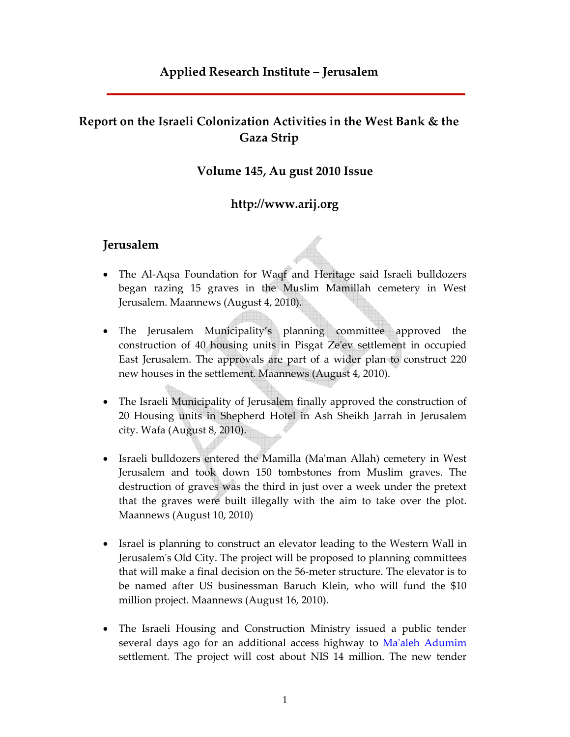## **Applied Research Institute – Jerusalem**

## **Report on the Israeli Colonization Activities in the West Bank & the Gaza Strip**

#### **Volume 145, Au gust 2010 Issue**

#### **http://www.arij.org**

#### **Jerusalem**

- The Al‐Aqsa Foundation for Waqf and Heritage said Israeli bulldozers began razing 15 graves in the Muslim Mamillah cemetery in West Jerusalem. Maannews (August 4, 2010).
- The Jerusalem Municipality's planning committee approved the construction of 40 housing units in Pisgat Zeʹev settlement in occupied East Jerusalem. The approvals are part of a wider plan to construct 220 new houses in the settlement. Maannews (August 4, 2010).
- The Israeli Municipality of Jerusalem finally approved the construction of 20 Housing units in Shepherd Hotel in Ash Sheikh Jarrah in Jerusalem city. Wafa (August 8, 2010).
- Israeli bulldozers entered the Mamilla (Ma'man Allah) cemetery in West Jerusalem and took down 150 tombstones from Muslim graves. The destruction of graves was the third in just over a week under the pretext that the graves were built illegally with the aim to take over the plot. Maannews (August 10, 2010)
- Israel is planning to construct an elevator leading to the Western Wall in Jerusalemʹs Old City. The project will be proposed to planning committees that will make a final decision on the 56‐meter structure. The elevator is to be named after US businessman Baruch Klein, who will fund the \$10 million project. Maannews (August 16, 2010).
- The Israeli Housing and Construction Ministry issued a public tender several days ago for an additional access highway to Ma'aleh Adumim settlement. The project will cost about NIS 14 million. The new tender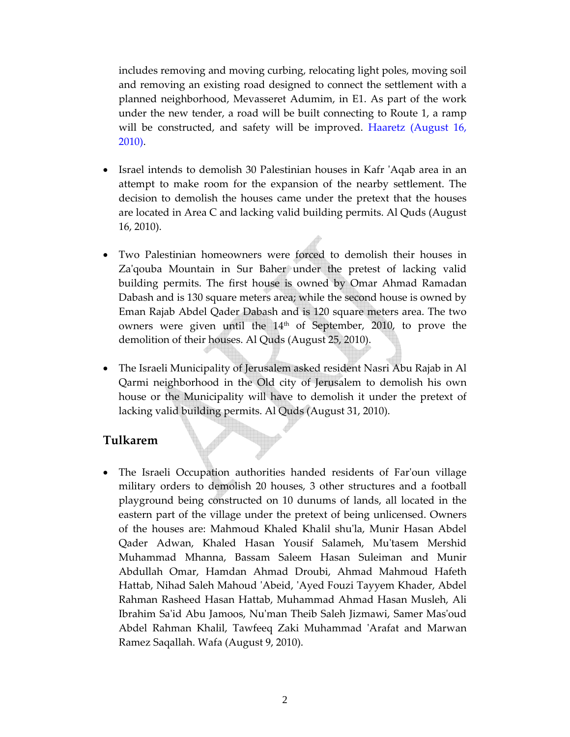includes removing and moving curbing, relocating light poles, moving soil and removing an existing road designed to connect the settlement with a planned neighborhood, Mevasseret Adumim, in E1. As part of the work under the new tender, a road will be built connecting to Route 1, a ramp will be constructed, and safety will be improved. Haaretz (August 16, 2010).

- Israel intends to demolish 30 Palestinian houses in Kafr 'Aqab area in an attempt to make room for the expansion of the nearby settlement. The decision to demolish the houses came under the pretext that the houses are located in Area C and lacking valid building permits. Al Quds (August 16, 2010).
- Two Palestinian homeowners were forced to demolish their houses in Zaʹqouba Mountain in Sur Baher under the pretest of lacking valid building permits. The first house is owned by Omar Ahmad Ramadan Dabash and is 130 square meters area; while the second house is owned by Eman Rajab Abdel Qader Dabash and is 120 square meters area. The two owners were given until the  $14<sup>th</sup>$  of September, 2010, to prove the demolition of their houses. Al Quds (August 25, 2010).
- The Israeli Municipality of Jerusalem asked resident Nasri Abu Rajab in Al Qarmi neighborhood in the Old city of Jerusalem to demolish his own house or the Municipality will have to demolish it under the pretext of lacking valid building permits. Al Quds (August 31, 2010).

### **Tulkarem**

• The Israeli Occupation authorities handed residents of Farʹoun village military orders to demolish 20 houses, 3 other structures and a football playground being constructed on 10 dunums of lands, all located in the eastern part of the village under the pretext of being unlicensed. Owners of the houses are: Mahmoud Khaled Khalil shuʹla, Munir Hasan Abdel Qader Adwan, Khaled Hasan Yousif Salameh, Muʹtasem Mershid Muhammad Mhanna, Bassam Saleem Hasan Suleiman and Munir Abdullah Omar, Hamdan Ahmad Droubi, Ahmad Mahmoud Hafeth Hattab, Nihad Saleh Mahoud ʹAbeid, ʹAyed Fouzi Tayyem Khader, Abdel Rahman Rasheed Hasan Hattab, Muhammad Ahmad Hasan Musleh, Ali Ibrahim Saʹid Abu Jamoos, Nuʹman Theib Saleh Jizmawi, Samer Masʹoud Abdel Rahman Khalil, Tawfeeq Zaki Muhammad 'Arafat and Marwan Ramez Saqallah. Wafa (August 9, 2010).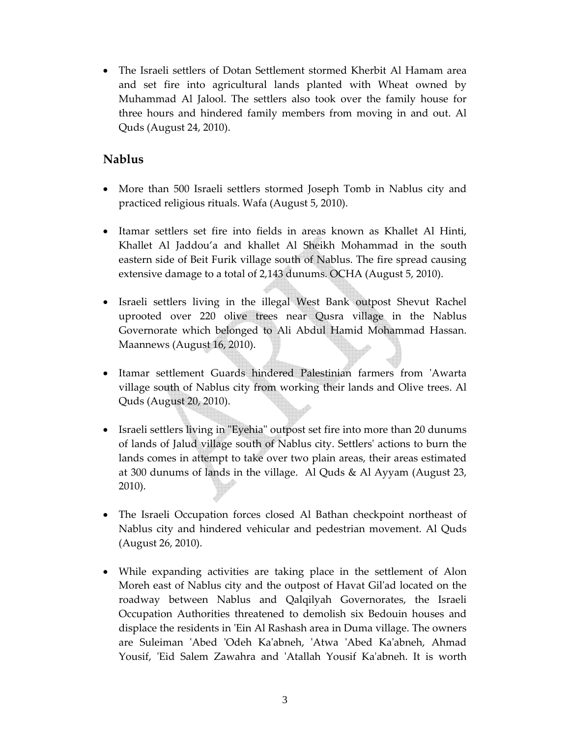• The Israeli settlers of Dotan Settlement stormed Kherbit Al Hamam area and set fire into agricultural lands planted with Wheat owned by Muhammad Al Jalool. The settlers also took over the family house for three hours and hindered family members from moving in and out. Al Quds (August 24, 2010).

## **Nablus**

- More than 500 Israeli settlers stormed Joseph Tomb in Nablus city and practiced religious rituals. Wafa (August 5, 2010).
- Itamar settlers set fire into fields in areas known as Khallet Al Hinti, Khallet Al Jaddou'a and khallet Al Sheikh Mohammad in the south eastern side of Beit Furik village south of Nablus. The fire spread causing extensive damage to a total of 2,143 dunums. OCHA (August 5, 2010).
- Israeli settlers living in the illegal West Bank outpost Shevut Rachel uprooted over 220 olive trees near Qusra village in the Nablus Governorate which belonged to Ali Abdul Hamid Mohammad Hassan. Maannews (August 16, 2010).
- Itamar settlement Guards hindered Palestinian farmers from 'Awarta village south of Nablus city from working their lands and Olive trees. Al Quds (August 20, 2010).
- Israeli settlers living in "Eyehia" outpost set fire into more than 20 dunums of lands of Jalud village south of Nablus city. Settlersʹ actions to burn the lands comes in attempt to take over two plain areas, their areas estimated at 300 dunums of lands in the village. Al Quds & Al Ayyam (August 23, 2010).
- The Israeli Occupation forces closed Al Bathan checkpoint northeast of Nablus city and hindered vehicular and pedestrian movement. Al Quds (August 26, 2010).
- While expanding activities are taking place in the settlement of Alon Moreh east of Nablus city and the outpost of Havat Gilʹad located on the roadway between Nablus and Qalqilyah Governorates, the Israeli Occupation Authorities threatened to demolish six Bedouin houses and displace the residents in 'Ein Al Rashash area in Duma village. The owners are Suleiman 'Abed 'Odeh Ka'abneh, 'Atwa 'Abed Ka'abneh, Ahmad Yousif, 'Eid Salem Zawahra and 'Atallah Yousif Ka'abneh. It is worth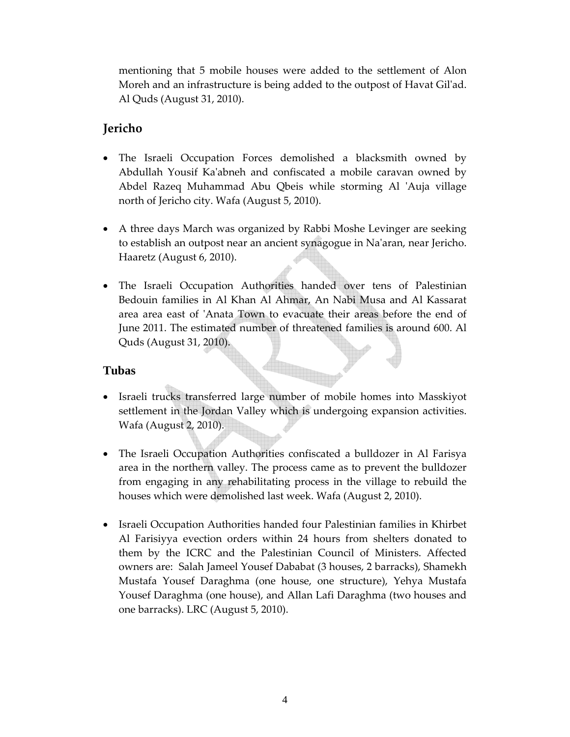mentioning that 5 mobile houses were added to the settlement of Alon Moreh and an infrastructure is being added to the outpost of Havat Gilʹad. Al Quds (August 31, 2010).

## **Jericho**

- The Israeli Occupation Forces demolished a blacksmith owned by Abdullah Yousif Kaʹabneh and confiscated a mobile caravan owned by Abdel Razeq Muhammad Abu Qbeis while storming Al 'Auja village north of Jericho city. Wafa (August 5, 2010).
- A three days March was organized by Rabbi Moshe Levinger are seeking to establish an outpost near an ancient synagogue in Naʹaran, near Jericho. Haaretz (August 6, 2010).
- The Israeli Occupation Authorities handed over tens of Palestinian Bedouin families in Al Khan Al Ahmar, An Nabi Musa and Al Kassarat area area east of ʹAnata Town to evacuate their areas before the end of June 2011. The estimated number of threatened families is around 600. Al Quds (August 31, 2010).

#### **Tubas**

- Israeli trucks transferred large number of mobile homes into Masskiyot settlement in the Jordan Valley which is undergoing expansion activities. Wafa (August 2, 2010).
- The Israeli Occupation Authorities confiscated a bulldozer in Al Farisya area in the northern valley. The process came as to prevent the bulldozer from engaging in any rehabilitating process in the village to rebuild the houses which were demolished last week. Wafa (August 2, 2010).
- Israeli Occupation Authorities handed four Palestinian families in Khirbet Al Farisiyya evection orders within 24 hours from shelters donated to them by the ICRC and the Palestinian Council of Ministers. Affected owners are: Salah Jameel Yousef Dababat (3 houses, 2 barracks), Shamekh Mustafa Yousef Daraghma (one house, one structure), Yehya Mustafa Yousef Daraghma (one house), and Allan Lafi Daraghma (two houses and one barracks). LRC (August 5, 2010).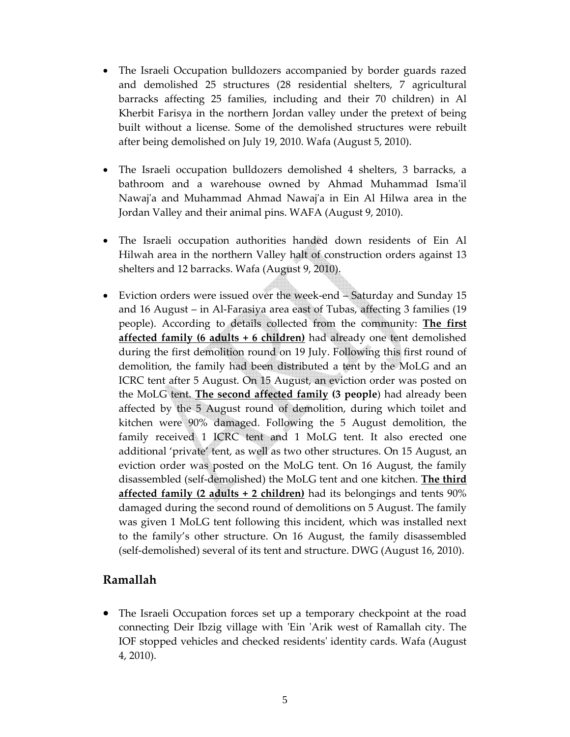- The Israeli Occupation bulldozers accompanied by border guards razed and demolished 25 structures (28 residential shelters, 7 agricultural barracks affecting 25 families, including and their 70 children) in Al Kherbit Farisya in the northern Jordan valley under the pretext of being built without a license. Some of the demolished structures were rebuilt after being demolished on July 19, 2010. Wafa (August 5, 2010).
- The Israeli occupation bulldozers demolished 4 shelters, 3 barracks, a bathroom and a warehouse owned by Ahmad Muhammad Isma'il Nawaj'a and Muhammad Ahmad Nawaj'a in Ein Al Hilwa area in the Jordan Valley and their animal pins. WAFA (August 9, 2010).
- The Israeli occupation authorities handed down residents of Ein Al Hilwah area in the northern Valley halt of construction orders against 13 shelters and 12 barracks. Wafa (August 9, 2010).
- Eviction orders were issued over the week-end Saturday and Sunday 15 and 16 August – in Al‐Farasiya area east of Tubas, affecting 3 families (19 people). According to details collected from the community: **The first affected family (6 adults + 6 children)** had already one tent demolished during the first demolition round on 19 July. Following this first round of demolition, the family had been distributed a tent by the MoLG and an ICRC tent after 5 August. On 15 August, an eviction order was posted on the MoLG tent. **The second affected family (3 people**) had already been affected by the 5 August round of demolition, during which toilet and kitchen were 90% damaged. Following the 5 August demolition, the family received 1 ICRC tent and 1 MoLG tent. It also erected one additional 'private' tent, as well as two other structures. On 15 August, an eviction order was posted on the MoLG tent. On 16 August, the family disassembled (self‐demolished) the MoLG tent and one kitchen. **The third affected family (2 adults + 2 children)** had its belongings and tents 90% damaged during the second round of demolitions on 5 August. The family was given 1 MoLG tent following this incident, which was installed next to the family's other structure. On 16 August, the family disassembled (self‐demolished) several of its tent and structure. DWG (August 16, 2010).

## **Ramallah**

• The Israeli Occupation forces set up a temporary checkpoint at the road connecting Deir Ibzig village with ʹEin ʹArik west of Ramallah city. The IOF stopped vehicles and checked residentsʹ identity cards. Wafa (August 4, 2010).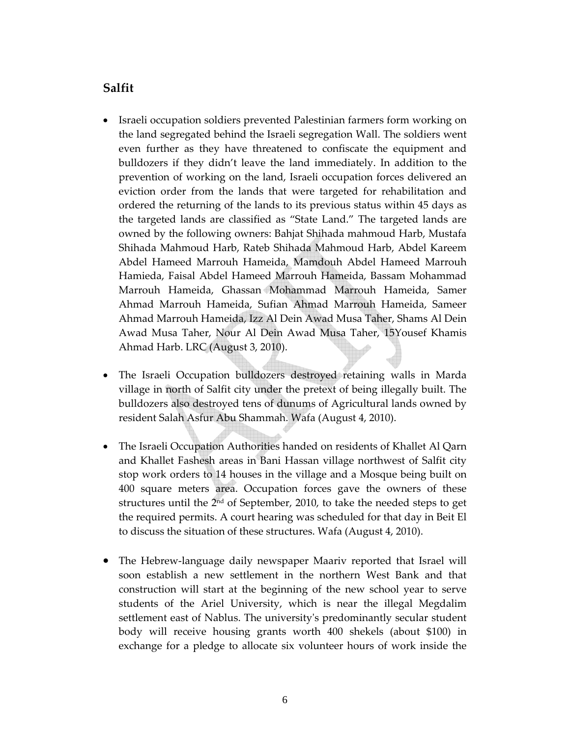### **Salfit**

- Israeli occupation soldiers prevented Palestinian farmers form working on the land segregated behind the Israeli segregation Wall. The soldiers went even further as they have threatened to confiscate the equipment and bulldozers if they didn't leave the land immediately. In addition to the prevention of working on the land, Israeli occupation forces delivered an eviction order from the lands that were targeted for rehabilitation and ordered the returning of the lands to its previous status within 45 days as the targeted lands are classified as "State Land." The targeted lands are owned by the following owners: Bahjat Shihada mahmoud Harb, Mustafa Shihada Mahmoud Harb, Rateb Shihada Mahmoud Harb, Abdel Kareem Abdel Hameed Marrouh Hameida, Mamdouh Abdel Hameed Marrouh Hamieda, Faisal Abdel Hameed Marrouh Hameida, Bassam Mohammad Marrouh Hameida, Ghassan Mohammad Marrouh Hameida, Samer Ahmad Marrouh Hameida, Sufian Ahmad Marrouh Hameida, Sameer Ahmad Marrouh Hameida, Izz Al Dein Awad Musa Taher, Shams Al Dein Awad Musa Taher, Nour Al Dein Awad Musa Taher, 15Yousef Khamis Ahmad Harb. LRC (August 3, 2010).
- The Israeli Occupation bulldozers destroyed retaining walls in Marda village in north of Salfit city under the pretext of being illegally built. The bulldozers also destroyed tens of dunums of Agricultural lands owned by resident Salah Asfur Abu Shammah. Wafa (August 4, 2010).
- The Israeli Occupation Authorities handed on residents of Khallet Al Qarn and Khallet Fashesh areas in Bani Hassan village northwest of Salfit city stop work orders to 14 houses in the village and a Mosque being built on 400 square meters area. Occupation forces gave the owners of these structures until the 2nd of September, 2010, to take the needed steps to get the required permits. A court hearing was scheduled for that day in Beit El to discuss the situation of these structures. Wafa (August 4, 2010).
- The Hebrew-language daily newspaper Maariv reported that Israel will soon establish a new settlement in the northern West Bank and that construction will start at the beginning of the new school year to serve students of the Ariel University, which is near the illegal Megdalim settlement east of Nablus. The universityʹs predominantly secular student body will receive housing grants worth 400 shekels (about \$100) in exchange for a pledge to allocate six volunteer hours of work inside the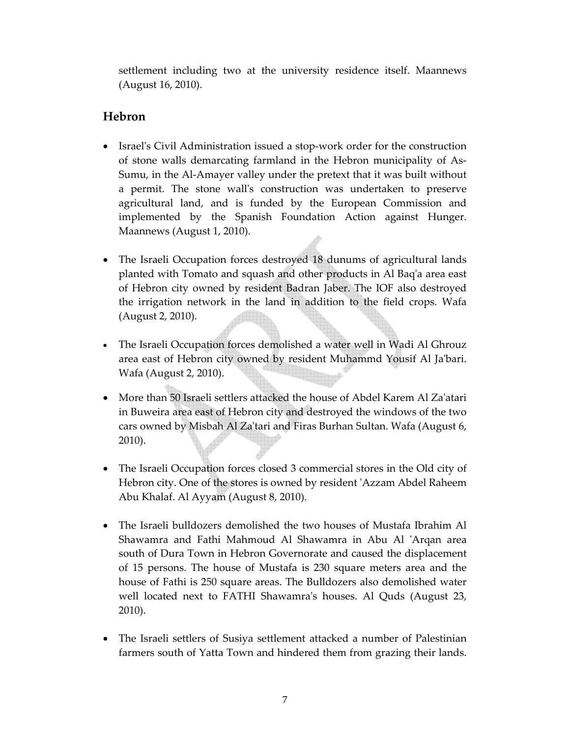settlement including two at the university residence itself. Maannews (August 16, 2010).

## **Hebron**

- Israelʹs Civil Administration issued a stop‐work order for the construction of stone walls demarcating farmland in the Hebron municipality of As‐ Sumu, in the Al‐Amayer valley under the pretext that it was built without a permit. The stone wallʹs construction was undertaken to preserve agricultural land, and is funded by the European Commission and implemented by the Spanish Foundation Action against Hunger. Maannews (August 1, 2010).
- The Israeli Occupation forces destroyed 18 dunums of agricultural lands planted with Tomato and squash and other products in Al Baqʹa area east of Hebron city owned by resident Badran Jaber. The IOF also destroyed the irrigation network in the land in addition to the field crops. Wafa (August 2, 2010).
- The Israeli Occupation forces demolished a water well in Wadi Al Ghrouz area east of Hebron city owned by resident Muhammd Yousif Al Jaʹbari. Wafa (August 2, 2010).
- More than 50 Israeli settlers attacked the house of Abdel Karem Al Za'atari in Buweira area east of Hebron city and destroyed the windows of the two cars owned by Misbah Al Zaʹtari and Firas Burhan Sultan. Wafa (August 6, 2010).
- The Israeli Occupation forces closed 3 commercial stores in the Old city of Hebron city. One of the stores is owned by resident ʹAzzam Abdel Raheem Abu Khalaf. Al Ayyam (August 8, 2010).
- The Israeli bulldozers demolished the two houses of Mustafa Ibrahim Al Shawamra and Fathi Mahmoud Al Shawamra in Abu Al ʹArqan area south of Dura Town in Hebron Governorate and caused the displacement of 15 persons. The house of Mustafa is 230 square meters area and the house of Fathi is 250 square areas. The Bulldozers also demolished water well located next to FATHI Shawamra's houses. Al Quds (August 23, 2010).
- The Israeli settlers of Susiya settlement attacked a number of Palestinian farmers south of Yatta Town and hindered them from grazing their lands.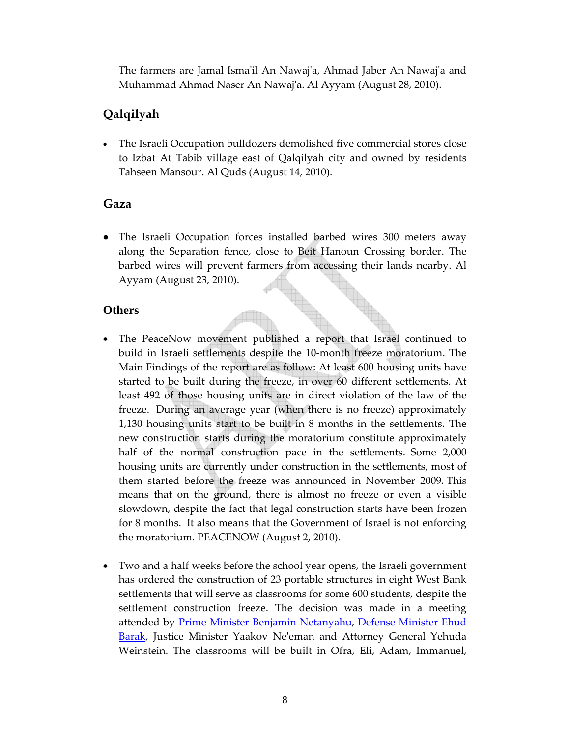The farmers are Jamal Ismaʹil An Nawajʹa, Ahmad Jaber An Nawajʹa and Muhammad Ahmad Naser An Nawajʹa. Al Ayyam (August 28, 2010).

## **Qalqilyah**

• The Israeli Occupation bulldozers demolished five commercial stores close to Izbat At Tabib village east of Qalqilyah city and owned by residents Tahseen Mansour. Al Quds (August 14, 2010).

## **Gaza**

• The Israeli Occupation forces installed barbed wires 300 meters away along the Separation fence, close to Beit Hanoun Crossing border. The barbed wires will prevent farmers from accessing their lands nearby. Al Ayyam (August 23, 2010).

### **Others**

- The PeaceNow movement published a report that Israel continued to build in Israeli settlements despite the 10‐month freeze moratorium. The Main Findings of the report are as follow: At least 600 housing units have started to be built during the freeze, in over 60 different settlements. At least 492 of those housing units are in direct violation of the law of the freeze. During an average year (when there is no freeze) approximately 1,130 housing units start to be built in 8 months in the settlements. The new construction starts during the moratorium constitute approximately half of the normal construction pace in the settlements. Some 2,000 housing units are currently under construction in the settlements, most of them started before the freeze was announced in November 2009. This means that on the ground, there is almost no freeze or even a visible slowdown, despite the fact that legal construction starts have been frozen for 8 months. It also means that the Government of Israel is not enforcing the moratorium. PEACENOW (August 2, 2010).
- Two and a half weeks before the school year opens, the Israeli government has ordered the construction of 23 portable structures in eight West Bank settlements that will serve as classrooms for some 600 students, despite the settlement construction freeze. The decision was made in a meeting attended by Prime Minister Benjamin Netanyahu, Defense Minister Ehud Barak, Justice Minister Yaakov Ne'eman and Attorney General Yehuda Weinstein. The classrooms will be built in Ofra, Eli, Adam, Immanuel,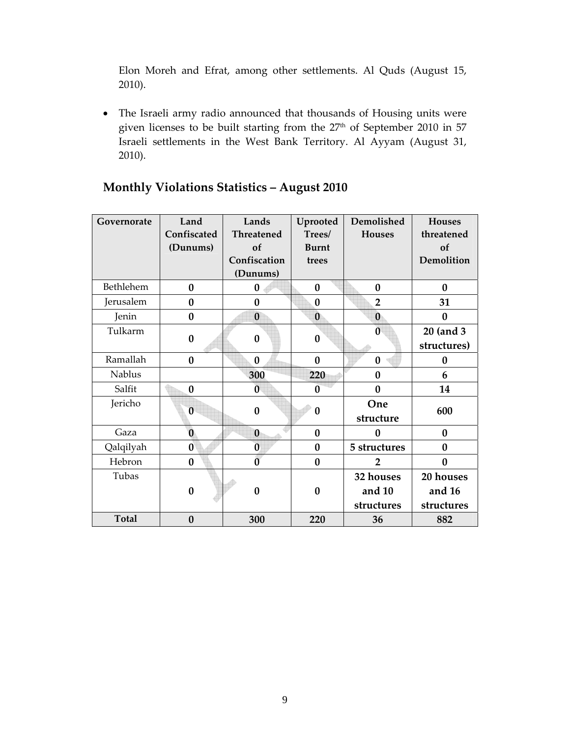Elon Moreh and Efrat, among other settlements. Al Quds (August 15, 2010).

• The Israeli army radio announced that thousands of Housing units were given licenses to be built starting from the 27<sup>th</sup> of September 2010 in 57 Israeli settlements in the West Bank Territory. Al Ayyam (August 31, 2010).

| Governorate  | Land        | Lands             | Uprooted         | Demolished     | <b>Houses</b>    |
|--------------|-------------|-------------------|------------------|----------------|------------------|
|              | Confiscated | <b>Threatened</b> | Trees/           | <b>Houses</b>  | threatened       |
|              | (Dunums)    | of                | <b>Burnt</b>     |                | of               |
|              |             | Confiscation      | trees            |                | Demolition       |
|              |             | (Dunums)          |                  |                |                  |
| Bethlehem    | $\bf{0}$    | $\bf{0}$          | $\boldsymbol{0}$ | $\bf{0}$       | $\bf{0}$         |
| Jerusalem    | $\bf{0}$    | $\bf{0}$          | $\bf{0}$         | $\overline{2}$ | 31               |
| Jenin        | $\bf{0}$    | $\bf{0}$          | $\bf{0}$         | $\bf{0}$       | $\bf{0}$         |
| Tulkarm      | $\bf{0}$    | $\bf{0}$          | $\bf{0}$         | $\mathbf{0}$   | 20 (and 3        |
|              |             |                   |                  |                | structures)      |
| Ramallah     | $\bf{0}$    | $\bf{0}$          | $\bf{0}$         | $\bf{0}$       | 0                |
| Nablus       |             | 300               | 220              | $\mathbf{0}$   | 6                |
| Salfit       | $\bf{0}$    | $\overline{0}$    | $\mathbf{0}$     | $\bf{0}$       | 14               |
| Jericho      | $\bf{0}$    | $\bf{0}$          | $\boldsymbol{0}$ | One            | 600              |
|              |             |                   |                  | structure      |                  |
| Gaza         | $\bf{0}$    | $\bf{0}$          | $\bf{0}$         | $\bf{0}$       | $\bf{0}$         |
| Qalqilyah    | $\bf{0}$    | $\bf{0}$          | $\boldsymbol{0}$ | 5 structures   | $\bf{0}$         |
| Hebron       | $\bf{0}$    | $\overline{0}$    | $\bf{0}$         | 2              | $\boldsymbol{0}$ |
| Tubas        |             |                   |                  | 32 houses      | 20 houses        |
|              | $\bf{0}$    | $\bf{0}$          | $\bf{0}$         | and 10         | and 16           |
|              |             |                   |                  | structures     | structures       |
| <b>Total</b> | $\bf{0}$    | 300               | 220              | 36             | 882              |

# **Monthly Violations Statistics – August 2010**